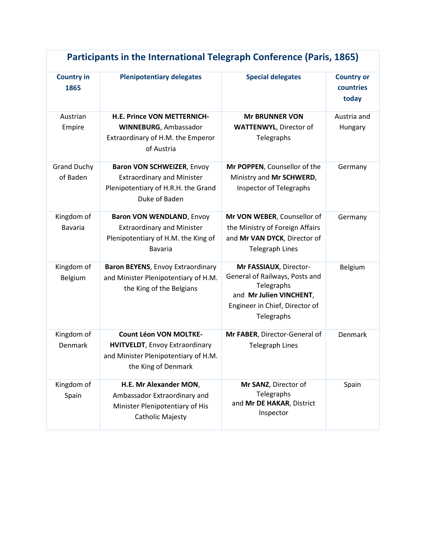| Participants in the International Telegraph Conference (Paris, 1865) |                                                                                                                                       |                                                                                                                                                   |                                         |  |  |
|----------------------------------------------------------------------|---------------------------------------------------------------------------------------------------------------------------------------|---------------------------------------------------------------------------------------------------------------------------------------------------|-----------------------------------------|--|--|
| <b>Country in</b><br>1865                                            | <b>Plenipotentiary delegates</b>                                                                                                      | <b>Special delegates</b>                                                                                                                          | <b>Country or</b><br>countries<br>today |  |  |
| Austrian<br>Empire                                                   | H.E. Prince VON METTERNICH-<br><b>WINNEBURG, Ambassador</b><br>Extraordinary of H.M. the Emperor<br>of Austria                        | <b>Mr BRUNNER VON</b><br><b>WATTENWYL, Director of</b><br>Telegraphs                                                                              | Austria and<br>Hungary                  |  |  |
| <b>Grand Duchy</b><br>of Baden                                       | Baron VON SCHWEIZER, Envoy<br><b>Extraordinary and Minister</b><br>Plenipotentiary of H.R.H. the Grand<br>Duke of Baden               | Mr POPPEN, Counsellor of the<br>Ministry and Mr SCHWERD,<br><b>Inspector of Telegraphs</b>                                                        | Germany                                 |  |  |
| Kingdom of<br><b>Bavaria</b>                                         | Baron VON WENDLAND, Envoy<br><b>Extraordinary and Minister</b><br>Plenipotentiary of H.M. the King of<br><b>Bavaria</b>               | Mr VON WEBER, Counsellor of<br>the Ministry of Foreign Affairs<br>and Mr VAN DYCK, Director of<br><b>Telegraph Lines</b>                          | Germany                                 |  |  |
| Kingdom of<br>Belgium                                                | Baron BEYENS, Envoy Extraordinary<br>and Minister Plenipotentiary of H.M.<br>the King of the Belgians                                 | Mr FASSIAUX, Director-<br>General of Railways, Posts and<br>Telegraphs<br>and Mr Julien VINCHENT,<br>Engineer in Chief, Director of<br>Telegraphs | Belgium                                 |  |  |
| Kingdom of<br>Denmark                                                | <b>Count Léon VON MOLTKE-</b><br><b>HVITVELDT, Envoy Extraordinary</b><br>and Minister Plenipotentiary of H.M.<br>the King of Denmark | Mr FABER, Director-General of<br><b>Telegraph Lines</b>                                                                                           | Denmark                                 |  |  |
| Kingdom of<br>Spain                                                  | H.E. Mr Alexander MON,<br>Ambassador Extraordinary and<br>Minister Plenipotentiary of His<br><b>Catholic Majesty</b>                  | Mr SANZ, Director of<br>Telegraphs<br>and Mr DE HAKAR, District<br>Inspector                                                                      | Spain                                   |  |  |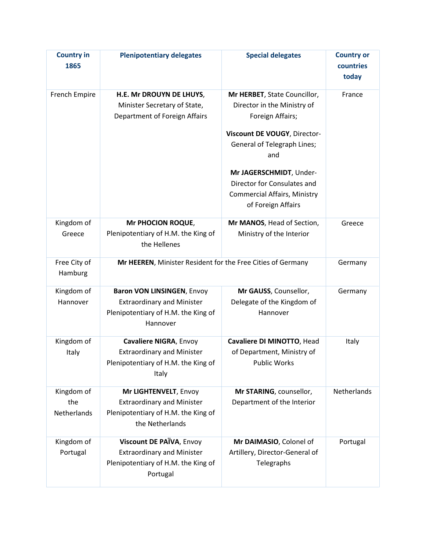| <b>Country in</b><br>1865        | <b>Plenipotentiary delegates</b>                                                                                          | <b>Special delegates</b>                                                                                                                                                                                                                                                            | <b>Country or</b><br>countries<br>today |
|----------------------------------|---------------------------------------------------------------------------------------------------------------------------|-------------------------------------------------------------------------------------------------------------------------------------------------------------------------------------------------------------------------------------------------------------------------------------|-----------------------------------------|
| French Empire                    | H.E. Mr DROUYN DE LHUYS,<br>Minister Secretary of State,<br>Department of Foreign Affairs                                 | Mr HERBET, State Councillor,<br>Director in the Ministry of<br>Foreign Affairs;<br>Viscount DE VOUGY, Director-<br><b>General of Telegraph Lines;</b><br>and<br>Mr JAGERSCHMIDT, Under-<br>Director for Consulates and<br><b>Commercial Affairs, Ministry</b><br>of Foreign Affairs | France                                  |
| Kingdom of<br>Greece             | Mr PHOCION ROQUE,<br>Plenipotentiary of H.M. the King of<br>the Hellenes                                                  | Mr MANOS, Head of Section,<br>Ministry of the Interior                                                                                                                                                                                                                              | Greece                                  |
| Free City of<br>Hamburg          | Mr HEEREN, Minister Resident for the Free Cities of Germany                                                               |                                                                                                                                                                                                                                                                                     | Germany                                 |
| Kingdom of<br>Hannover           | <b>Baron VON LINSINGEN, Envoy</b><br><b>Extraordinary and Minister</b><br>Plenipotentiary of H.M. the King of<br>Hannover | Mr GAUSS, Counsellor,<br>Delegate of the Kingdom of<br>Hannover                                                                                                                                                                                                                     | Germany                                 |
| Kingdom of<br>Italy              | Cavaliere NIGRA, Envoy<br><b>Extraordinary and Minister</b><br>Plenipotentiary of H.M. the King of<br>Italy               | Cavaliere DI MINOTTO, Head<br>of Department, Ministry of<br><b>Public Works</b>                                                                                                                                                                                                     | Italy                                   |
| Kingdom of<br>the<br>Netherlands | Mr LIGHTENVELT, Envoy<br><b>Extraordinary and Minister</b><br>Plenipotentiary of H.M. the King of<br>the Netherlands      | Mr STARING, counsellor,<br>Department of the Interior                                                                                                                                                                                                                               | Netherlands                             |
| Kingdom of<br>Portugal           | Viscount DE PAÏVA, Envoy<br><b>Extraordinary and Minister</b><br>Plenipotentiary of H.M. the King of<br>Portugal          | Mr DAIMASIO, Colonel of<br>Artillery, Director-General of<br>Telegraphs                                                                                                                                                                                                             | Portugal                                |